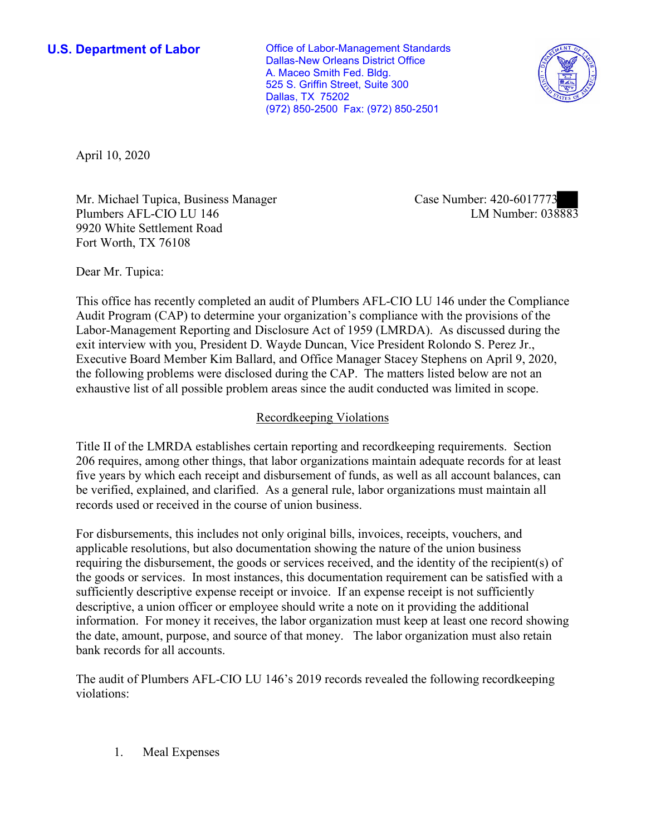**U.S. Department of Labor Conservative Conservative Conservative Conservative Conservative Conservative Conservative Conservative Conservative Conservative Conservative Conservative Conservative Conservative Conservative** Dallas-New Orleans District Office A. Maceo Smith Fed. Bldg. 525 S. Griffin Street, Suite 300 Dallas, TX 75202 (972) 850-2500 Fax: (972) 850-2501



April 10, 2020

Mr. Michael Tupica, Business Manager Plumbers AFL-CIO LU 146 9920 White Settlement Road Fort Worth, TX 76108

Case Number: 420-6017773<br>LM Number: 038883

Dear Mr. Tupica:

 This office has recently completed an audit of Plumbers AFL-CIO LU 146 under the Compliance Audit Program (CAP) to determine your organization's compliance with the provisions of the Labor-Management Reporting and Disclosure Act of 1959 (LMRDA). As discussed during the exit interview with you, President D. Wayde Duncan, Vice President Rolondo S. Perez Jr., Executive Board Member Kim Ballard, and Office Manager Stacey Stephens on April 9, 2020, the following problems were disclosed during the CAP. The matters listed below are not an exhaustive list of all possible problem areas since the audit conducted was limited in scope.

## Recordkeeping Violations

 Title II of the LMRDA establishes certain reporting and recordkeeping requirements. Section 206 requires, among other things, that labor organizations maintain adequate records for at least five years by which each receipt and disbursement of funds, as well as all account balances, can be verified, explained, and clarified. As a general rule, labor organizations must maintain all records used or received in the course of union business.

For disbursements, this includes not only original bills, invoices, receipts, vouchers, and applicable resolutions, but also documentation showing the nature of the union business requiring the disbursement, the goods or services received, and the identity of the recipient(s) of the goods or services. In most instances, this documentation requirement can be satisfied with a sufficiently descriptive expense receipt or invoice. If an expense receipt is not sufficiently descriptive, a union officer or employee should write a note on it providing the additional information. For money it receives, the labor organization must keep at least one record showing the date, amount, purpose, and source of that money. The labor organization must also retain bank records for all accounts.

The audit of Plumbers AFL-CIO LU 146's 2019 records revealed the following recordkeeping violations:

1. Meal Expenses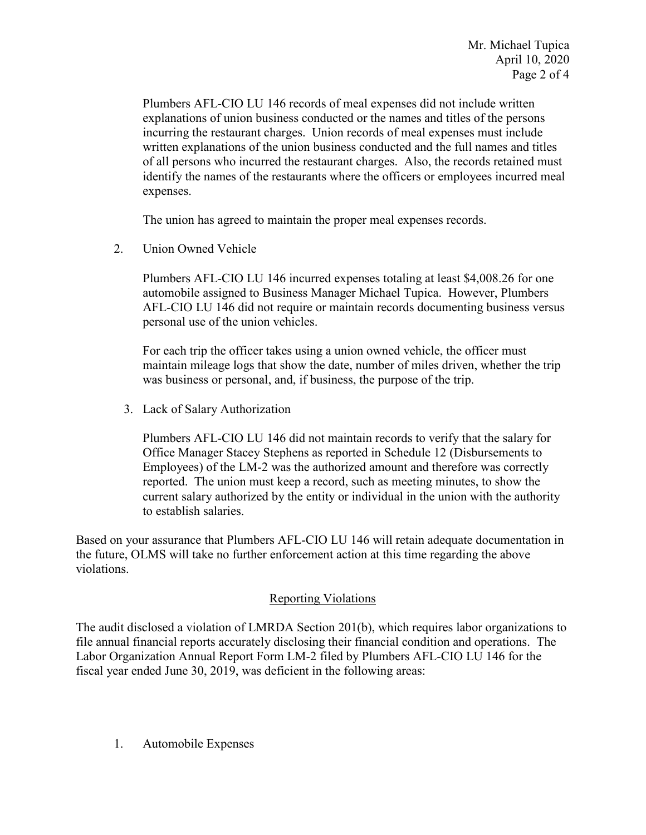Plumbers AFL-CIO LU 146 records of meal expenses did not include written explanations of union business conducted or the names and titles of the persons incurring the restaurant charges. Union records of meal expenses must include written explanations of the union business conducted and the full names and titles of all persons who incurred the restaurant charges. Also, the records retained must identify the names of the restaurants where the officers or employees incurred meal expenses.

The union has agreed to maintain the proper meal expenses records.

Union Owned Vehicle

2. Union Owned Vehicle<br>Plumbers AFL-CIO LU 146 incurred expenses totaling at least \$[4,008.26](https://4,008.26) for one automobile assigned to Business Manager Michael Tupica. However, Plumbers AFL-CIO LU 146 did not require or maintain records documenting business versus personal use of the union vehicles.

For each trip the officer takes using a union owned vehicle, the officer must maintain mileage logs that show the date, number of miles driven, whether the trip was business or personal, and, if business, the purpose of the trip.

3. Lack of Salary Authorization

 Plumbers AFL-CIO LU 146 did not maintain records to verify that the salary for Office Manager Stacey Stephens as reported in Schedule 12 (Disbursements to Employees) of the LM-2 was the authorized amount and therefore was correctly reported. The union must keep a record, such as meeting minutes, to show the current salary authorized by the entity or individual in the union with the authority to establish salaries.

Based on your assurance that Plumbers AFL-CIO LU 146 will retain adequate documentation in the future, OLMS will take no further enforcement action at this time regarding the above violations.

## Reporting Violations

 fiscal year ended June 30, 2019, was deficient in the following areas: The audit disclosed a violation of LMRDA Section 201(b), which requires labor organizations to file annual financial reports accurately disclosing their financial condition and operations. The Labor Organization Annual Report Form LM-2 filed by Plumbers AFL-CIO LU 146 for the

1. Automobile Expenses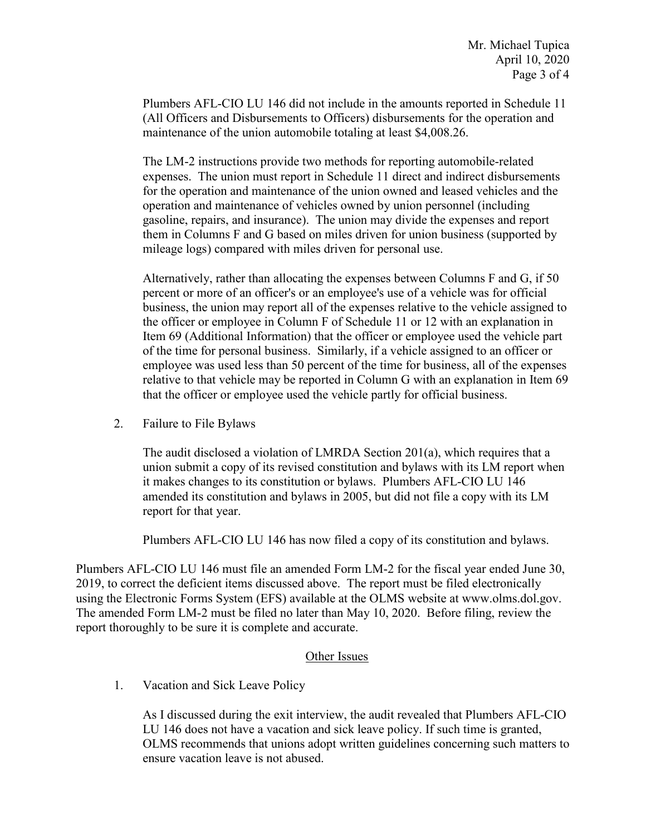Plumbers AFL-CIO LU 146 did not include in the amounts reported in Schedule 11 (All Officers and Disbursements to Officers) disbursements for the operation and maintenance of the union automobile totaling at least [\\$4,008.26](https://4,008.26).

 for the operation and maintenance of the union owned and leased vehicles and the The LM-2 instructions provide two methods for reporting automobile-related expenses. The union must report in Schedule 11 direct and indirect disbursements operation and maintenance of vehicles owned by union personnel (including gasoline, repairs, and insurance). The union may divide the expenses and report them in Columns F and G based on miles driven for union business (supported by mileage logs) compared with miles driven for personal use.

 percent or more of an officer's or an employee's use of a vehicle was for official employee was used less than 50 percent of the time for business, all of the expenses Alternatively, rather than allocating the expenses between Columns F and G, if 50 business, the union may report all of the expenses relative to the vehicle assigned to the officer or employee in Column F of Schedule 11 or 12 with an explanation in Item 69 (Additional Information) that the officer or employee used the vehicle part of the time for personal business. Similarly, if a vehicle assigned to an officer or relative to that vehicle may be reported in Column G with an explanation in Item 69 that the officer or employee used the vehicle partly for official business.

2. Failure to File Bylaws

 The audit disclosed a violation of LMRDA Section 201(a), which requires that a union submit a copy of its revised constitution and bylaws with its LM report when it makes changes to its constitution or bylaws. Plumbers AFL-CIO LU 146 amended its constitution and bylaws in 2005, but did not file a copy with its LM report for that year.

Plumbers AFL-CIO LU 146 has now filed a copy of its constitution and bylaws.

 Plumbers AFL-CIO LU 146 must file an amended Form LM-2 for the fiscal year ended June 30, using the Electronic Forms System (EFS) available at the OLMS website at www.olms.dol.gov. 2019, to correct the deficient items discussed above. The report must be filed electronically The amended Form LM-2 must be filed no later than May 10, 2020. Before filing, review the report thoroughly to be sure it is complete and accurate.

## Other Issues

1. Vacation and Sick Leave Policy

 LU 146 does not have a vacation and sick leave policy. If such time is granted, OLMS recommends that unions adopt written guidelines concerning such matters to As I discussed during the exit interview, the audit revealed that Plumbers AFL-CIO ensure vacation leave is not abused.